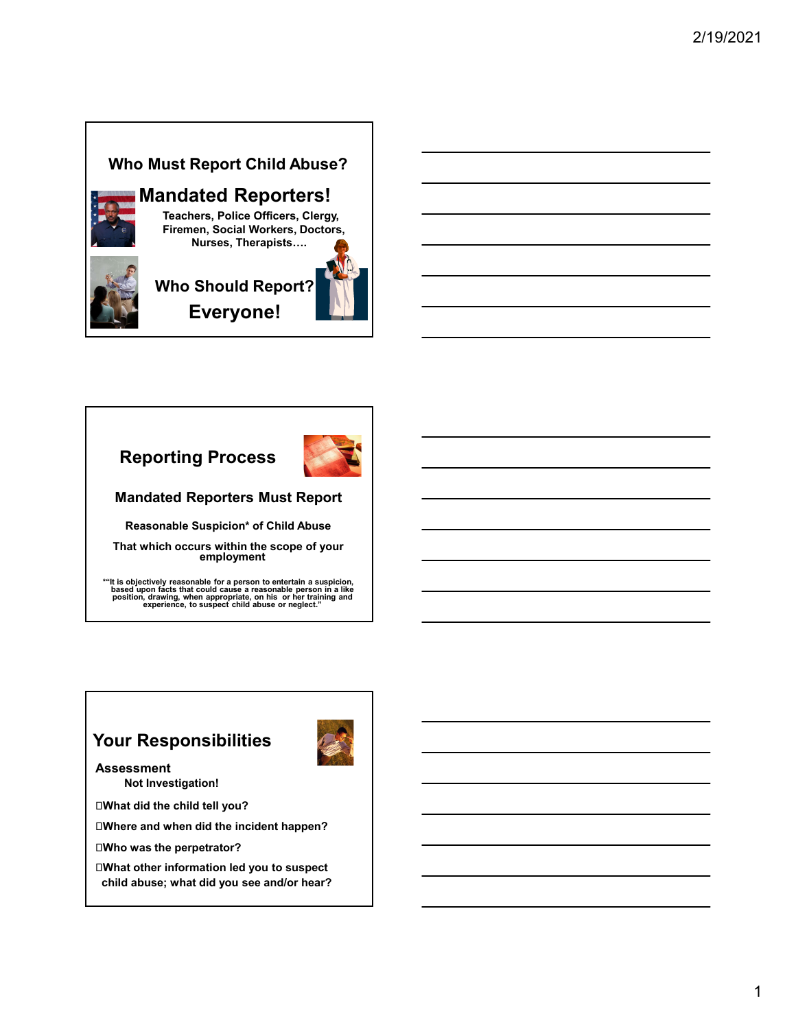#### Who Must Report Child Abuse?



# Mandated Reporters!

Teachers, Police Officers, Clergy, Firemen, Social Workers, Doctors, Nurses, Therapists….

# Who Should Report? Everyone!



Reasonable Suspicion\* of Child Abuse

That which occurs within the scope of your employment

\*"It is objectively reasonable for a person to entertain a suspicion,<br>based upon facts that could cause a reasonable person in a like<br>position, drawing, when appropriate, on his or her training and<br>experience, to suspect c

## Your Responsibilities

Assessment Not Investigation!

What did the child tell you?

Where and when did the incident happen?

Who was the perpetrator?

What other information led you to suspect child abuse; what did you see and/or hear?

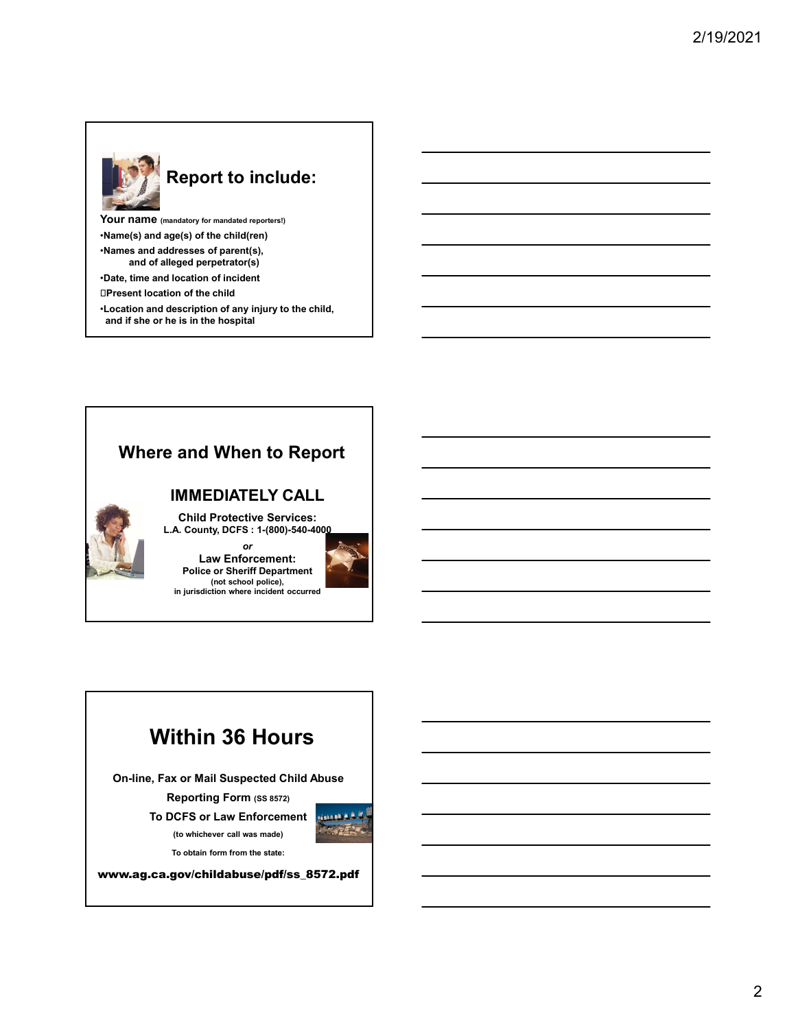

# Report to include:

Your name (mandatory for mandated reporters!) •Name(s) and age(s) of the child(ren) •Names and addresses of parent(s), and of alleged perpetrator(s) •Date, time and location of incident Present location of the child

•Location and description of any injury to the child, and if she or he is in the hospital

## Where and When to Report

#### IMMEDIATELY CALL

Child Protective Services: L.A. County, DCFS : 1-(800)-540-4000

or and the state of the state of the state of the state of the state of the state of the state of the state of Law Enforcement: Police or Sheriff Department (not school police), in jurisdiction where incident occurred



# Within 36 Hours

On-line, Fax or Mail Suspected Child Abuse

Reporting Form (SS 8572) To DCFS or Law Enforcement



To obtain form from the state:

www.ag.ca.gov/childabuse/pdf/ss\_8572.pdf